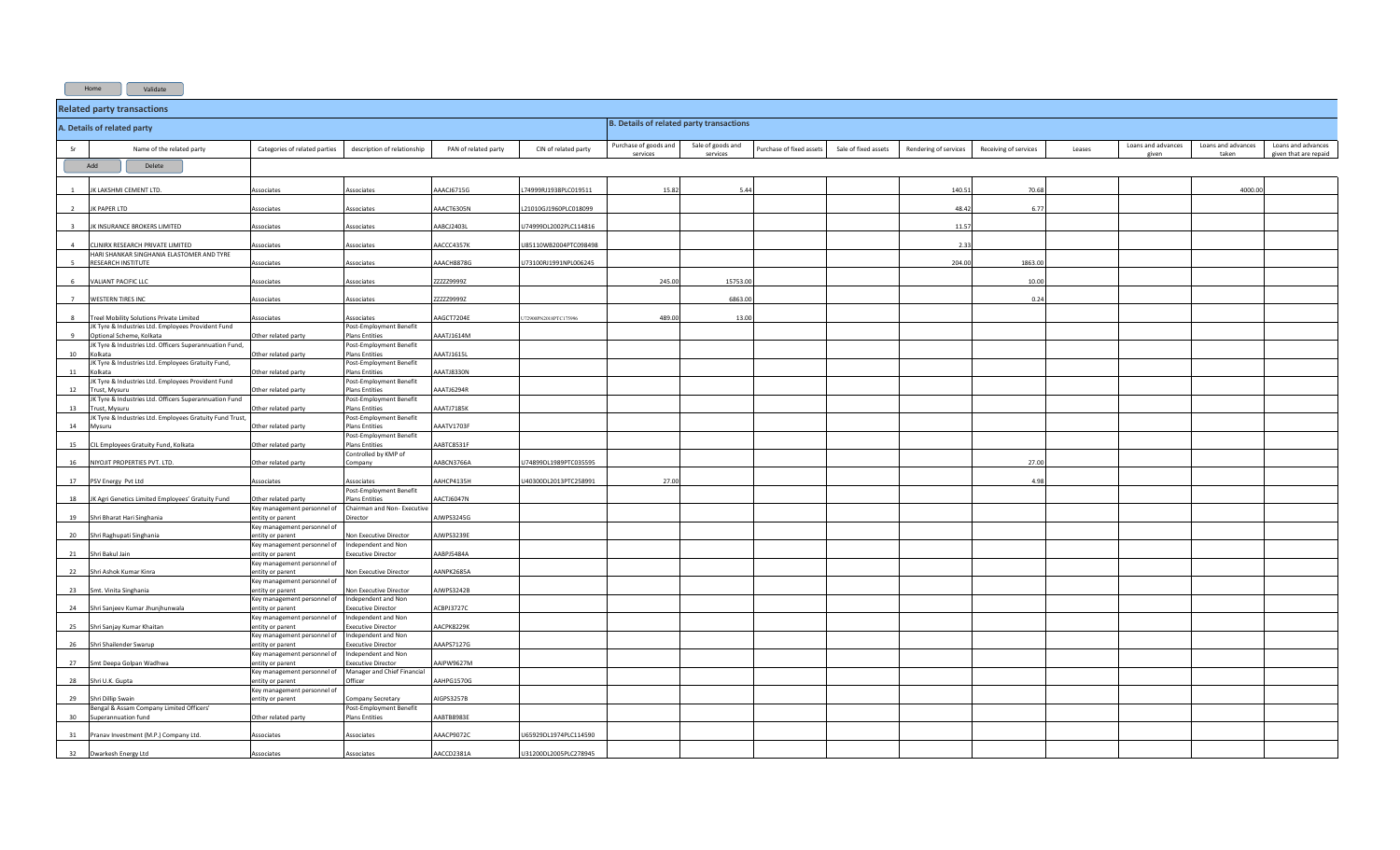Home Validate

|                | <b>Related party transactions</b>                                                             |                                                    |                                                   |                      |                       |                                                 |                               |                         |                      |                       |                       |        |                    |                             |                                             |
|----------------|-----------------------------------------------------------------------------------------------|----------------------------------------------------|---------------------------------------------------|----------------------|-----------------------|-------------------------------------------------|-------------------------------|-------------------------|----------------------|-----------------------|-----------------------|--------|--------------------|-----------------------------|---------------------------------------------|
|                | A. Details of related party                                                                   |                                                    |                                                   |                      |                       | <b>B. Details of related party transactions</b> |                               |                         |                      |                       |                       |        |                    |                             |                                             |
| Sr             | Name of the related party                                                                     | Categories of related parties                      | description of relationship                       | PAN of related party | CIN of related party  | Purchase of goods and<br>services               | Sale of goods and<br>services | Purchase of fixed asset | Sale of fixed assets | Rendering of services | Receiving of services | Leases | Loans and advances | Loans and advances<br>taken | Loans and advances<br>given that are repaid |
| Add<br>Delete  |                                                                                               |                                                    |                                                   |                      |                       |                                                 |                               |                         |                      |                       |                       |        |                    |                             |                                             |
|                | K LAKSHMI CEMENT LTD.                                                                         | <i><b>Associates</b></i>                           | Associates                                        | AAACJ6715G           | 74999RJ1938PLC019511  | 15.8                                            | 5.44                          |                         |                      | 140.5                 | 70.68                 |        |                    | 4000.0                      |                                             |
| $\overline{2}$ | K PAPER LTD                                                                                   | Associates                                         | Associates                                        | AAACT6305N           | L21010GJ1960PLC018099 |                                                 |                               |                         |                      | 48.42                 | 6.77                  |        |                    |                             |                                             |
|                | K INSURANCE BROKERS LIMITED                                                                   | Associates                                         | Associates                                        | AABCJ2403L           | U74999DL2002PLC114816 |                                                 |                               |                         |                      | 11.57                 |                       |        |                    |                             |                                             |
| $\overline{a}$ | LINIRX RESEARCH PRIVATE LIMITED<br>HARI SHANKAR SINGHANIA ELASTOMER AND TYRE                  | Associates                                         | Associates                                        | AACCC4357K           | U85110WB2004PTC098498 |                                                 |                               |                         |                      | 2.3                   |                       |        |                    |                             |                                             |
|                | <b>RESEARCH INSTITUTE</b>                                                                     | Associates                                         | Associates                                        | AAACH8878G           | U73100RJ1991NPL006245 |                                                 |                               |                         |                      | 204.00                | 1863.00               |        |                    |                             |                                             |
| -6             | VALIANT PACIFIC LLC                                                                           | Associates                                         | Associates                                        | ZZZZZ9999Z           |                       | 245.00                                          | 15753.00                      |                         |                      |                       | 10.00                 |        |                    |                             |                                             |
|                | <b>WESTERN TIRES INC</b>                                                                      | <b>Associates</b>                                  | Associates                                        | ZZZZ29999Z           |                       |                                                 | 6863.0                        |                         |                      |                       | 0.24                  |        |                    |                             |                                             |
|                | Freel Mobility Solutions Private Limited<br>K Tyre & Industries Ltd. Employees Provident Fund | ssociates                                          | Associates<br>Post-Employment Benefit             | AGCT7204E            | 2900PN2018PTC175996   | 489.0                                           | 13.0                          |                         |                      |                       |                       |        |                    |                             |                                             |
|                | ptional Scheme, Kolkata<br>K Tyre & Industries Ltd. Officers Superannuation Fund,             | ther related party                                 | <b>Plans Entities</b><br>Post-Employment Benefit  | AAATJ1614M           |                       |                                                 |                               |                         |                      |                       |                       |        |                    |                             |                                             |
| 10             | olkata<br>JK Tyre & Industries Ltd. Employees Gratuity Fund,                                  | Other related party                                | <b>Plans Entities</b><br>Post-Employment Benefit  | AAATJ1615L           |                       |                                                 |                               |                         |                      |                       |                       |        |                    |                             |                                             |
| 11             | Kolkata<br>JK Tyre & Industries Ltd. Employees Provident Fund                                 | Other related party                                | <b>Plans Entities</b><br>Post-Employment Benefit  | AAATJ8330N           |                       |                                                 |                               |                         |                      |                       |                       |        |                    |                             |                                             |
| 12             | Trust, Mysuru<br>K Tyre & Industries Ltd. Officers Superannuation Fund                        | Other related party                                | <b>Plans Entities</b><br>Post-Employment Benefit  | AAATJ6294R           |                       |                                                 |                               |                         |                      |                       |                       |        |                    |                             |                                             |
| 13             | Trust, Mysuru<br>K Tyre & Industries Ltd. Employees Gratuity Fund Trust,                      | Other related party                                | <b>Plans Entities</b>                             | AAATJ7185K           |                       |                                                 |                               |                         |                      |                       |                       |        |                    |                             |                                             |
| 14             | Mysuru                                                                                        | Other related party                                | Post-Employment Benefit<br><b>Plans Entities</b>  | AAATV1703F           |                       |                                                 |                               |                         |                      |                       |                       |        |                    |                             |                                             |
| 15             | CIL Employees Gratuity Fund, Kolkata                                                          | Other related party                                | Post-Employment Benefit<br><b>Plans Entities</b>  | AABTC8531F           |                       |                                                 |                               |                         |                      |                       |                       |        |                    |                             |                                             |
| 16             | NIYOJIT PROPERTIES PVT. LTD.                                                                  | Other related party                                | Controlled by KMP of<br>Company                   | AABCN3766A           | J74899DL1989PTC035595 |                                                 |                               |                         |                      |                       | 27.00                 |        |                    |                             |                                             |
|                | 17 PSV Energy Pvt Ltd                                                                         | Associates                                         | Associates<br>Post-Employment Benefit             | AAHCP4135H           | /40300DL2013PTC258991 | 27.0                                            |                               |                         |                      |                       | 4.98                  |        |                    |                             |                                             |
| 18             | JK Agri Genetics Limited Employees' Gratuity Fund                                             | Other related party<br>Key management personnel of | Plans Entities<br>Chairman and Non- Executive     | AACTJ6047N           |                       |                                                 |                               |                         |                      |                       |                       |        |                    |                             |                                             |
| 19             | Shri Bharat Hari Singhania                                                                    | entity or parent<br>Key management personnel of    | Director                                          | AJWPS3245G           |                       |                                                 |                               |                         |                      |                       |                       |        |                    |                             |                                             |
| 20             | Shri Raghupati Singhania                                                                      | entity or parent<br>Key management personnel of    | Non Executive Director<br>Independent and Non     | AJWPS3239E           |                       |                                                 |                               |                         |                      |                       |                       |        |                    |                             |                                             |
| 21             | Shri Bakul Jain                                                                               | entity or parent<br>Key management personnel of    | <b>Executive Director</b>                         | AABPJ5484A           |                       |                                                 |                               |                         |                      |                       |                       |        |                    |                             |                                             |
| 22             | Shri Ashok Kumar Kinra                                                                        | entity or parent<br>Key management personnel of    | Non Executive Director                            | AANPK2685A           |                       |                                                 |                               |                         |                      |                       |                       |        |                    |                             |                                             |
| 23             | Smt. Vinita Singhania                                                                         | entity or parent<br>Key management personnel of    | Non Executive Director<br>Independent and Non     | AJWPS3242B           |                       |                                                 |                               |                         |                      |                       |                       |        |                    |                             |                                             |
| 24             | Shri Sanjeev Kumar Jhunjhunwala                                                               | entity or parent<br>Key management personnel of    | <b>Executive Director</b><br>Independent and Non  | ACBPJ3727C           |                       |                                                 |                               |                         |                      |                       |                       |        |                    |                             |                                             |
| 25             | Shri Sanjay Kumar Khaitan                                                                     | ntity or parent<br>Key management personnel of     | Executive Director<br>Independent and Non         | AACPK8229K           |                       |                                                 |                               |                         |                      |                       |                       |        |                    |                             |                                             |
| 26             | Shri Shailender Swarup                                                                        | ntity or parent<br>Key management personnel of     | Executive Director<br>Independent and Non         | AAAPS7127G           |                       |                                                 |                               |                         |                      |                       |                       |        |                    |                             |                                             |
| 27             | Smt Deepa Golpan Wadhwa                                                                       | entity or parent<br>Key management personnel of    | Executive Director<br>Manager and Chief Financial | AAIPW9627M           |                       |                                                 |                               |                         |                      |                       |                       |        |                    |                             |                                             |
| 28             | Shri U.K. Gupta                                                                               | entity or parent<br>Key management personnel of    | Officer                                           | AAHPG1570G           |                       |                                                 |                               |                         |                      |                       |                       |        |                    |                             |                                             |
| 29             | Shri Dillip Swain<br>lengal & Assam Company Limited Officers'                                 | entity or parent                                   | Company Secretary<br>Post-Employment Benefit      | AIGPS3257B           |                       |                                                 |                               |                         |                      |                       |                       |        |                    |                             |                                             |
| 30             | Superannuation fund                                                                           | Other related party                                | <b>Plans Entities</b>                             | AABTB8983E           |                       |                                                 |                               |                         |                      |                       |                       |        |                    |                             |                                             |
| 31             | Pranav Investment (M.P.) Company Ltd.                                                         | estational                                         | Associates                                        | AAACP9072C           | J65929DL1974PLC114590 |                                                 |                               |                         |                      |                       |                       |        |                    |                             |                                             |
|                | 32 Dwarkesh Energy Ltd                                                                        | Associates                                         | Associates                                        | AACCD2381A           | U31200DL2005PLC278945 |                                                 |                               |                         |                      |                       |                       |        |                    |                             |                                             |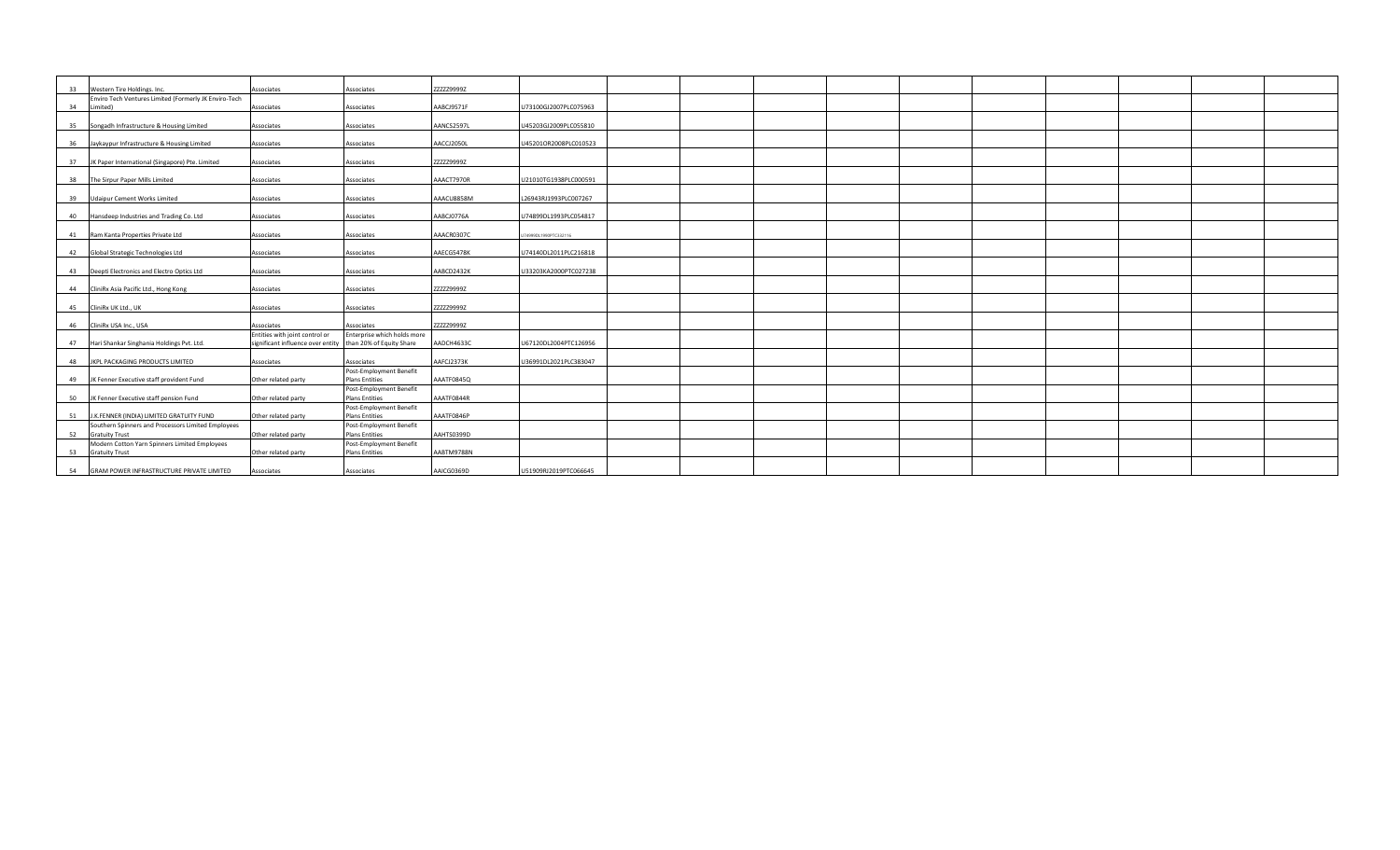|    | 33 Western Tire Holdings. Inc.                                    | Associates                                                 | Associates                                       | ZZZZZ9999Z |                       |  |  |  |  |  |
|----|-------------------------------------------------------------------|------------------------------------------------------------|--------------------------------------------------|------------|-----------------------|--|--|--|--|--|
| 34 | Enviro Tech Ventures Limited (Formerly JK Enviro-Tech<br>Limited) | Associates                                                 | Associates                                       | AABCJ9571F | U73100GJ2007PLC075963 |  |  |  |  |  |
|    |                                                                   |                                                            |                                                  |            |                       |  |  |  |  |  |
|    | 35 Songadh Infrastructure & Housing Limited                       | Associates                                                 | Associates                                       | AANCS2597L | U45203GJ2009PLC055810 |  |  |  |  |  |
|    |                                                                   |                                                            |                                                  |            |                       |  |  |  |  |  |
|    | 36 Jaykaypur Infrastructure & Housing Limited                     | Associates                                                 | Associates                                       | AACCJ2050L | U45201OR2008PLC010523 |  |  |  |  |  |
|    |                                                                   |                                                            |                                                  |            |                       |  |  |  |  |  |
|    | 37 JK Paper International (Singapore) Pte. Limited                | Associates                                                 | Associates                                       | ZZZZZ99992 |                       |  |  |  |  |  |
|    | 38 The Sirpur Paper Mills Limited                                 | Associates                                                 | Associates                                       | AAACT7970R | U21010TG1938PLC000591 |  |  |  |  |  |
|    |                                                                   |                                                            |                                                  |            |                       |  |  |  |  |  |
|    | 39 Udaipur Cement Works Limited                                   | Associates                                                 | Associates                                       | AAACU8858M | L26943RJ1993PLC007267 |  |  |  |  |  |
|    |                                                                   |                                                            |                                                  |            |                       |  |  |  |  |  |
|    | 40 Hansdeep Industries and Trading Co. Ltd                        | Associates                                                 | Associates                                       | AABCJ0776A | U74899DL1993PLC054817 |  |  |  |  |  |
|    |                                                                   |                                                            |                                                  |            |                       |  |  |  |  |  |
|    | 41 Ram Kanta Properties Private Ltd                               | Associates                                                 | Associates                                       | AAACR0307C | 4999DL1990PTC332116   |  |  |  |  |  |
|    |                                                                   |                                                            |                                                  |            |                       |  |  |  |  |  |
|    | 42 Global Strategic Technologies Ltd                              | Associates                                                 | Associates                                       | AAECG5478K | U74140DL2011PLC216818 |  |  |  |  |  |
|    |                                                                   |                                                            |                                                  |            |                       |  |  |  |  |  |
|    | 43 Deepti Electronics and Electro Optics Ltd                      | Associates                                                 | Associates                                       | AABCD2432K | U33203KA2000PTC027238 |  |  |  |  |  |
|    | 44 CliniRx Asia Pacific Ltd., Hong Kong                           | Associates                                                 | Associates                                       | ZZZZZ9999Z |                       |  |  |  |  |  |
|    |                                                                   |                                                            |                                                  |            |                       |  |  |  |  |  |
|    | 45 CliniRx UK Ltd., UK                                            | Associates                                                 | Associates                                       | ZZZZZ9999Z |                       |  |  |  |  |  |
|    |                                                                   |                                                            |                                                  |            |                       |  |  |  |  |  |
|    | 46 CliniRx USA Inc., USA                                          | Associates                                                 | Associates                                       | ZZZZZ9999Z |                       |  |  |  |  |  |
|    |                                                                   | Entities with joint control or                             | Enterprise which holds more                      |            |                       |  |  |  |  |  |
|    | 47 Hari Shankar Singhania Holdings Pvt. Ltd.                      | significant influence over entity than 20% of Equity Share |                                                  | AADCH4633C | U67120DL2004PTC126956 |  |  |  |  |  |
|    |                                                                   |                                                            |                                                  |            |                       |  |  |  |  |  |
|    | 48 JKPL PACKAGING PRODUCTS LIMITED                                | Associates                                                 | Associates                                       | AAFCJ2373K | U36991DL2021PLC383047 |  |  |  |  |  |
|    |                                                                   |                                                            | Post-Employment Benefit                          |            |                       |  |  |  |  |  |
|    | 49 JK Fenner Executive staff provident Fund                       | Other related party                                        | <b>Plans Entities</b>                            | AAATF0845Q |                       |  |  |  |  |  |
|    | 50 JK Fenner Executive staff pension Fund                         | Other related party                                        | Post-Employment Benefit<br><b>Plans Entities</b> | AAATF0844R |                       |  |  |  |  |  |
|    |                                                                   |                                                            | Post-Employment Benefit                          |            |                       |  |  |  |  |  |
| 51 | J.K.FENNER (INDIA) LIMITED GRATUITY FUND                          | Other related party                                        | <b>Plans Entities</b>                            | AAATF0846P |                       |  |  |  |  |  |
|    | Southern Spinners and Processors Limited Employees                |                                                            | Post-Employment Benefit                          |            |                       |  |  |  |  |  |
|    | 52 Gratuity Trust                                                 | Other related party                                        | <b>Plans Entities</b>                            | AAHTS0399D |                       |  |  |  |  |  |
|    | Modern Cotton Yarn Spinners Limited Employees                     |                                                            | Post-Employment Benefit                          |            |                       |  |  |  |  |  |
|    | 53 Gratuity Trust                                                 | Other related party                                        | <b>Plans Entities</b>                            | AABTM9788N |                       |  |  |  |  |  |
|    |                                                                   |                                                            |                                                  |            |                       |  |  |  |  |  |
|    | 54 GRAM POWER INFRASTRUCTURE PRIVATE LIMITED                      | Associates                                                 | Associates                                       | AAICG0369D | U51909RJ2019PTC066645 |  |  |  |  |  |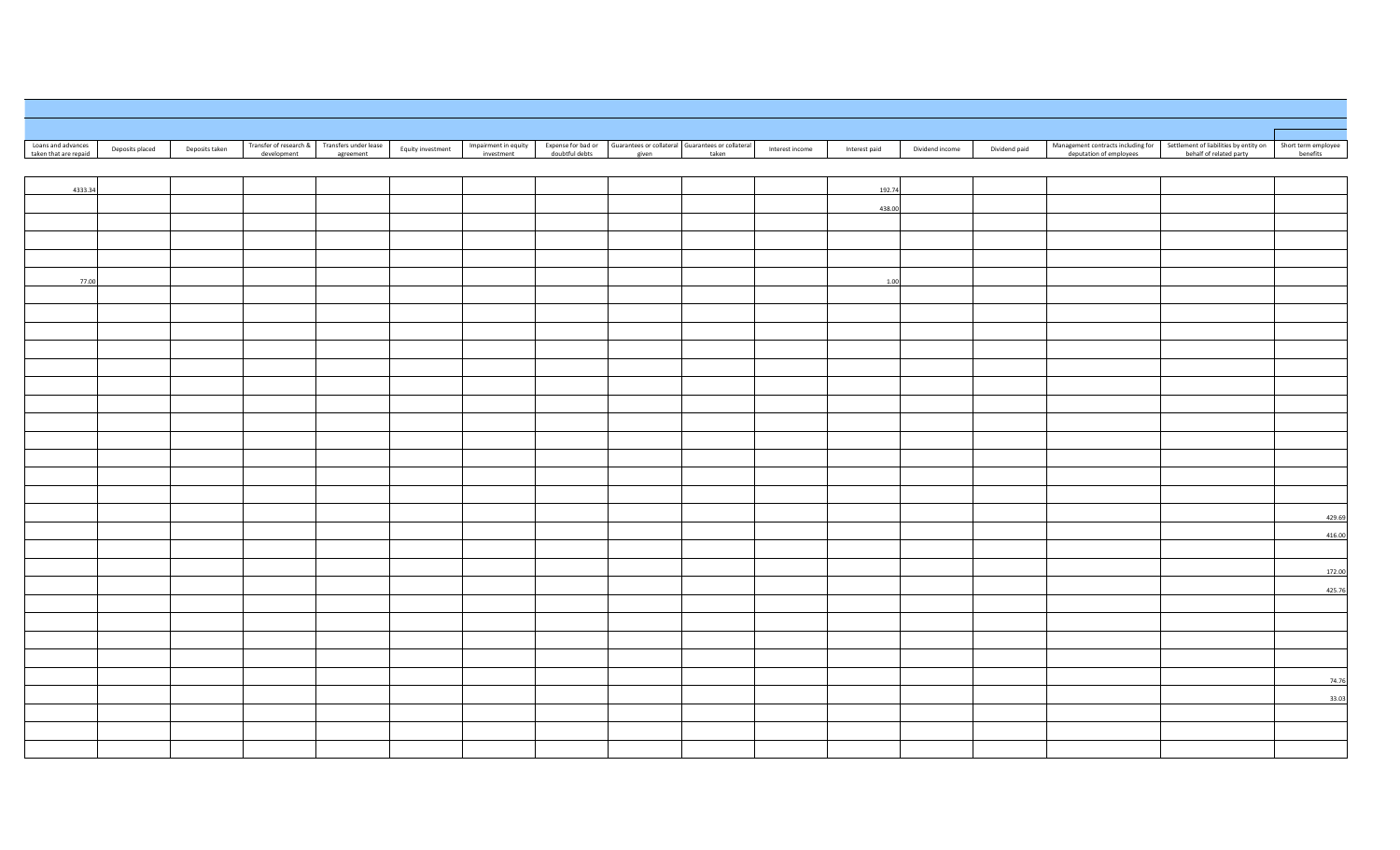| Loans and advances    |                 |                | Transfer of research & Transfers under lease |                   | Impairment in equity |                | Expense for bad or Guarantees or collateral Guarantees or collateral |                 |               |                 |               |                         | Management contracts including for Settlement of liabilities by entity on | Short term employee |
|-----------------------|-----------------|----------------|----------------------------------------------|-------------------|----------------------|----------------|----------------------------------------------------------------------|-----------------|---------------|-----------------|---------------|-------------------------|---------------------------------------------------------------------------|---------------------|
| taken that are repaid | Deposits placed | Deposits taken | development<br>agreement                     | Equity investment | investment           | doubtful debts | given<br>taken                                                       | Interest income | Interest paid | Dividend income | Dividend paid | deputation of employees | behalf of related party                                                   | benefits            |
|                       |                 |                |                                              |                   |                      |                |                                                                      |                 |               |                 |               |                         |                                                                           |                     |
| 4333.34               |                 |                |                                              |                   |                      |                |                                                                      |                 | 192.74        |                 |               |                         |                                                                           |                     |
|                       |                 |                |                                              |                   |                      |                |                                                                      |                 | 438.00        |                 |               |                         |                                                                           |                     |
|                       |                 |                |                                              |                   |                      |                |                                                                      |                 |               |                 |               |                         |                                                                           |                     |
|                       |                 |                |                                              |                   |                      |                |                                                                      |                 |               |                 |               |                         |                                                                           |                     |
|                       |                 |                |                                              |                   |                      |                |                                                                      |                 |               |                 |               |                         |                                                                           |                     |
| 77.00                 |                 |                |                                              |                   |                      |                |                                                                      |                 | 1.00          |                 |               |                         |                                                                           |                     |
|                       |                 |                |                                              |                   |                      |                |                                                                      |                 |               |                 |               |                         |                                                                           |                     |
|                       |                 |                |                                              |                   |                      |                |                                                                      |                 |               |                 |               |                         |                                                                           |                     |
|                       |                 |                |                                              |                   |                      |                |                                                                      |                 |               |                 |               |                         |                                                                           |                     |
|                       |                 |                |                                              |                   |                      |                |                                                                      |                 |               |                 |               |                         |                                                                           |                     |
|                       |                 |                |                                              |                   |                      |                |                                                                      |                 |               |                 |               |                         |                                                                           |                     |
|                       |                 |                |                                              |                   |                      |                |                                                                      |                 |               |                 |               |                         |                                                                           |                     |
|                       |                 |                |                                              |                   |                      |                |                                                                      |                 |               |                 |               |                         |                                                                           |                     |
|                       |                 |                |                                              |                   |                      |                |                                                                      |                 |               |                 |               |                         |                                                                           |                     |
|                       |                 |                |                                              |                   |                      |                |                                                                      |                 |               |                 |               |                         |                                                                           |                     |
|                       |                 |                |                                              |                   |                      |                |                                                                      |                 |               |                 |               |                         |                                                                           |                     |
|                       |                 |                |                                              |                   |                      |                |                                                                      |                 |               |                 |               |                         |                                                                           |                     |
|                       |                 |                |                                              |                   |                      |                |                                                                      |                 |               |                 |               |                         |                                                                           | 429.69              |
|                       |                 |                |                                              |                   |                      |                |                                                                      |                 |               |                 |               |                         |                                                                           | 416.00              |
|                       |                 |                |                                              |                   |                      |                |                                                                      |                 |               |                 |               |                         |                                                                           |                     |
|                       |                 |                |                                              |                   |                      |                |                                                                      |                 |               |                 |               |                         |                                                                           | 172.00              |
|                       |                 |                |                                              |                   |                      |                |                                                                      |                 |               |                 |               |                         |                                                                           | 425.76              |
|                       |                 |                |                                              |                   |                      |                |                                                                      |                 |               |                 |               |                         |                                                                           |                     |
|                       |                 |                |                                              |                   |                      |                |                                                                      |                 |               |                 |               |                         |                                                                           |                     |
|                       |                 |                |                                              |                   |                      |                |                                                                      |                 |               |                 |               |                         |                                                                           |                     |
|                       |                 |                |                                              |                   |                      |                |                                                                      |                 |               |                 |               |                         |                                                                           |                     |
|                       |                 |                |                                              |                   |                      |                |                                                                      |                 |               |                 |               |                         |                                                                           | 74.76               |
|                       |                 |                |                                              |                   |                      |                |                                                                      |                 |               |                 |               |                         |                                                                           | 33.03               |
|                       |                 |                |                                              |                   |                      |                |                                                                      |                 |               |                 |               |                         |                                                                           |                     |
|                       |                 |                |                                              |                   |                      |                |                                                                      |                 |               |                 |               |                         |                                                                           |                     |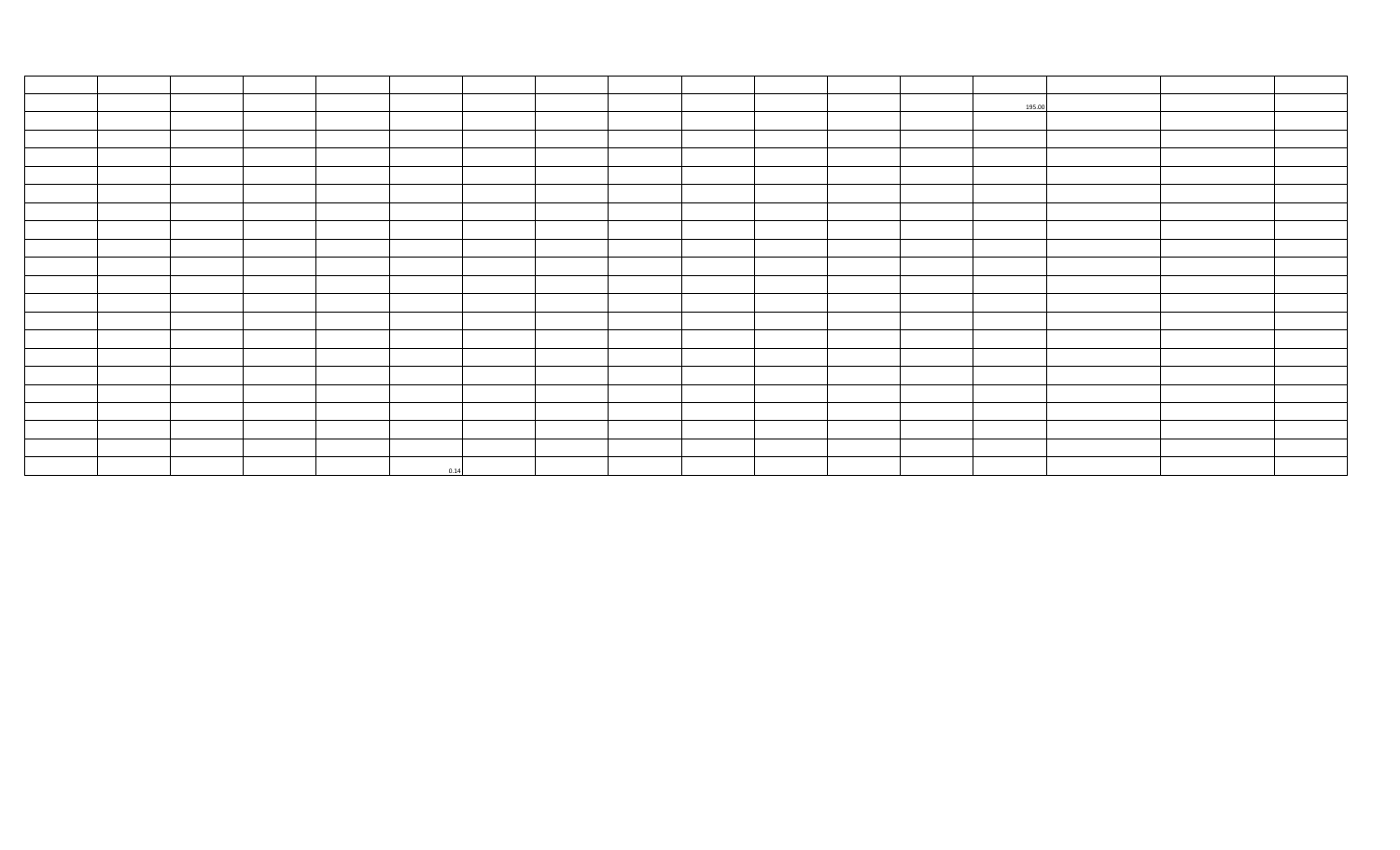|  |  |      |  |  |  | 195.00 |  |  |
|--|--|------|--|--|--|--------|--|--|
|  |  |      |  |  |  |        |  |  |
|  |  |      |  |  |  |        |  |  |
|  |  |      |  |  |  |        |  |  |
|  |  |      |  |  |  |        |  |  |
|  |  |      |  |  |  |        |  |  |
|  |  |      |  |  |  |        |  |  |
|  |  |      |  |  |  |        |  |  |
|  |  |      |  |  |  |        |  |  |
|  |  |      |  |  |  |        |  |  |
|  |  |      |  |  |  |        |  |  |
|  |  |      |  |  |  |        |  |  |
|  |  |      |  |  |  |        |  |  |
|  |  |      |  |  |  |        |  |  |
|  |  |      |  |  |  |        |  |  |
|  |  |      |  |  |  |        |  |  |
|  |  |      |  |  |  |        |  |  |
|  |  |      |  |  |  |        |  |  |
|  |  |      |  |  |  |        |  |  |
|  |  |      |  |  |  |        |  |  |
|  |  | 0.14 |  |  |  |        |  |  |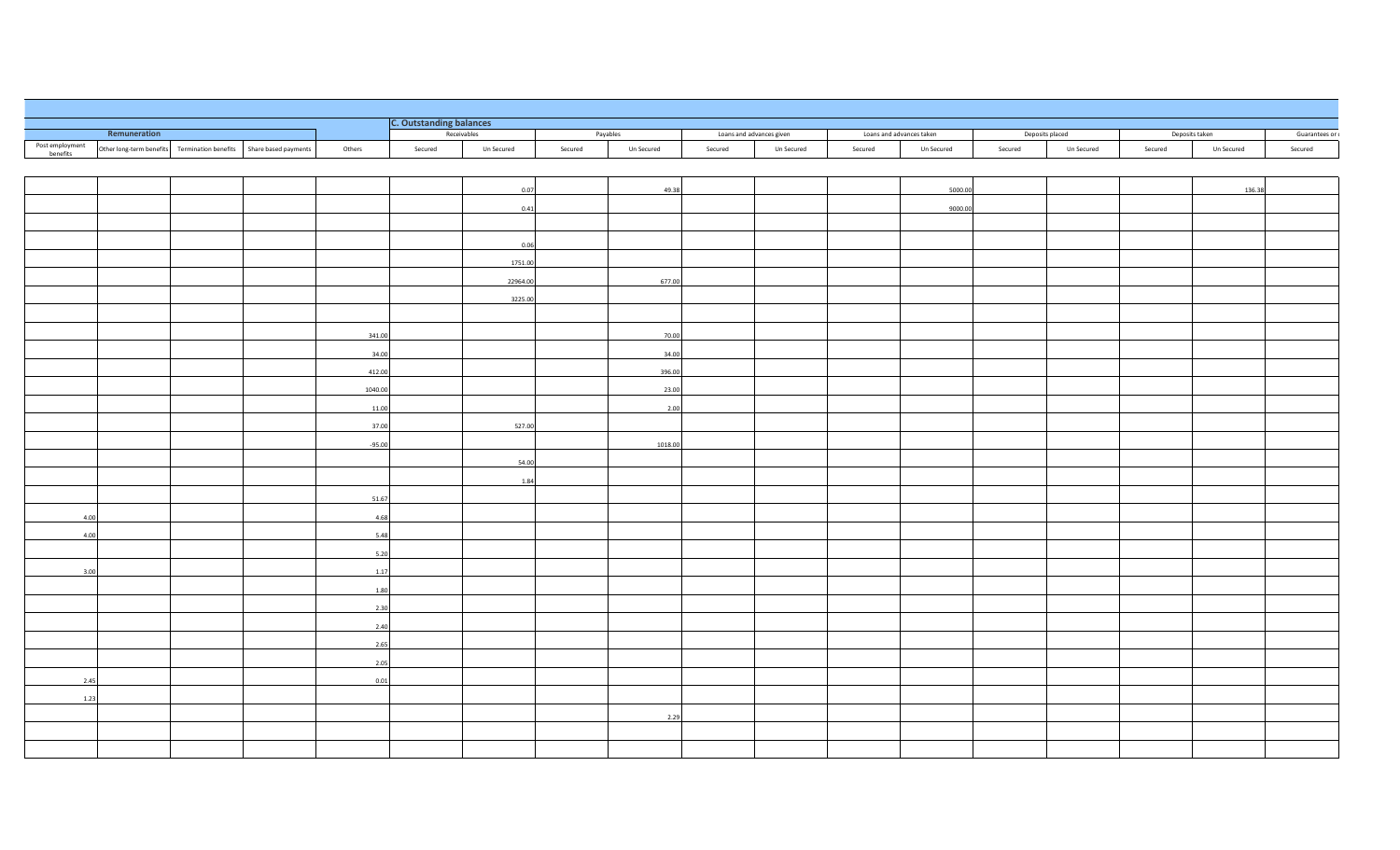|                 |              |                                                                    |          | <b>C. Outstanding balances</b> |             |          |            |                          |            |         |                          |         |                 |                |            |               |
|-----------------|--------------|--------------------------------------------------------------------|----------|--------------------------------|-------------|----------|------------|--------------------------|------------|---------|--------------------------|---------|-----------------|----------------|------------|---------------|
| Post employment | Remuneration |                                                                    |          |                                | Receivables | Payables |            | Loans and advances given |            |         | Loans and advances taken |         | Deposits placed | Deposits taken |            | Guarantees or |
| benefits        |              | Other long-term benefits Termination benefits Share based payments | Others   | Secured                        | Un Secured  | Secured  | Un Secured | Secured                  | Un Secured | Secured | Un Secured               | Secured | Un Secured      | Secured        | Un Secured | Secured       |
|                 |              |                                                                    |          |                                |             |          |            |                          |            |         |                          |         |                 |                |            |               |
|                 |              |                                                                    |          |                                | 0.07        |          | 49.38      |                          |            |         | 5000.00                  |         |                 |                | 136.38     |               |
|                 |              |                                                                    |          |                                | 0.41        |          |            |                          |            |         | 9000.00                  |         |                 |                |            |               |
|                 |              |                                                                    |          |                                |             |          |            |                          |            |         |                          |         |                 |                |            |               |
|                 |              |                                                                    |          |                                | 0.06        |          |            |                          |            |         |                          |         |                 |                |            |               |
|                 |              |                                                                    |          |                                | 1751.00     |          |            |                          |            |         |                          |         |                 |                |            |               |
|                 |              |                                                                    |          |                                | 22964.00    |          | 677.00     |                          |            |         |                          |         |                 |                |            |               |
|                 |              |                                                                    |          |                                |             |          |            |                          |            |         |                          |         |                 |                |            |               |
|                 |              |                                                                    |          |                                | 3225.00     |          |            |                          |            |         |                          |         |                 |                |            |               |
|                 |              |                                                                    |          |                                |             |          |            |                          |            |         |                          |         |                 |                |            |               |
|                 |              |                                                                    | 341.00   |                                |             |          | 70.00      |                          |            |         |                          |         |                 |                |            |               |
|                 |              |                                                                    | 34.00    |                                |             |          | 34.00      |                          |            |         |                          |         |                 |                |            |               |
|                 |              |                                                                    | 412.00   |                                |             |          | 396.00     |                          |            |         |                          |         |                 |                |            |               |
|                 |              |                                                                    | 1040.00  |                                |             |          | 23.00      |                          |            |         |                          |         |                 |                |            |               |
|                 |              |                                                                    | 11.00    |                                |             |          | 2.00       |                          |            |         |                          |         |                 |                |            |               |
|                 |              |                                                                    | 37.00    |                                | 527.00      |          |            |                          |            |         |                          |         |                 |                |            |               |
|                 |              |                                                                    | $-95.00$ |                                |             |          | 1018.00    |                          |            |         |                          |         |                 |                |            |               |
|                 |              |                                                                    |          |                                | 54.00       |          |            |                          |            |         |                          |         |                 |                |            |               |
|                 |              |                                                                    |          |                                | 1.84        |          |            |                          |            |         |                          |         |                 |                |            |               |
|                 |              |                                                                    | 51.67    |                                |             |          |            |                          |            |         |                          |         |                 |                |            |               |
| 4.00            |              |                                                                    | 4.68     |                                |             |          |            |                          |            |         |                          |         |                 |                |            |               |
|                 |              |                                                                    |          |                                |             |          |            |                          |            |         |                          |         |                 |                |            |               |
| 4.00            |              |                                                                    | 5.48     |                                |             |          |            |                          |            |         |                          |         |                 |                |            |               |
|                 |              |                                                                    | 5.20     |                                |             |          |            |                          |            |         |                          |         |                 |                |            |               |
| 3.00            |              |                                                                    | 1.17     |                                |             |          |            |                          |            |         |                          |         |                 |                |            |               |
|                 |              |                                                                    | 1.80     |                                |             |          |            |                          |            |         |                          |         |                 |                |            |               |
|                 |              |                                                                    | 2.30     |                                |             |          |            |                          |            |         |                          |         |                 |                |            |               |
|                 |              |                                                                    | 2.40     |                                |             |          |            |                          |            |         |                          |         |                 |                |            |               |
|                 |              |                                                                    | 2.65     |                                |             |          |            |                          |            |         |                          |         |                 |                |            |               |
|                 |              |                                                                    | 2.05     |                                |             |          |            |                          |            |         |                          |         |                 |                |            |               |
| 2.45            |              |                                                                    | 0.01     |                                |             |          |            |                          |            |         |                          |         |                 |                |            |               |
| 1.23            |              |                                                                    |          |                                |             |          |            |                          |            |         |                          |         |                 |                |            |               |
|                 |              |                                                                    |          |                                |             |          | 2.29       |                          |            |         |                          |         |                 |                |            |               |
|                 |              |                                                                    |          |                                |             |          |            |                          |            |         |                          |         |                 |                |            |               |
|                 |              |                                                                    |          |                                |             |          |            |                          |            |         |                          |         |                 |                |            |               |